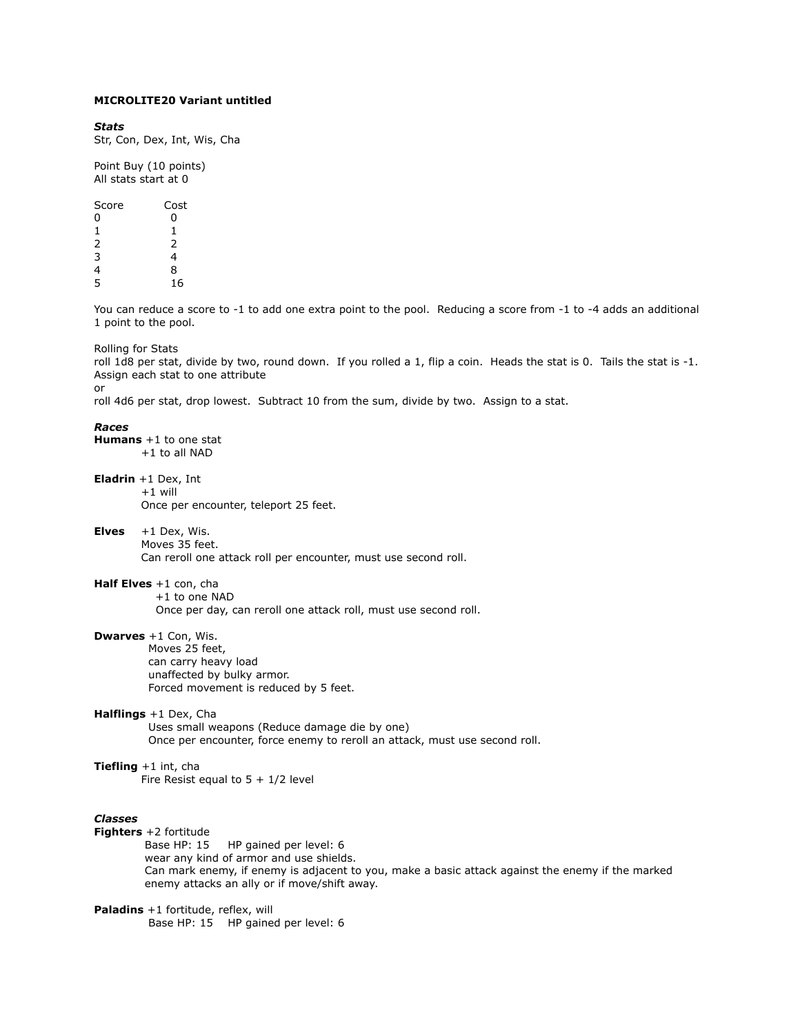# **MICROLITE20 Variant untitled**

#### *Stats*

Str, Con, Dex, Int, Wis, Cha

Point Buy (10 points) All stats start at 0

| Score         | Cost<br>ი<br>1 |  |
|---------------|----------------|--|
| 0             |                |  |
| 1             |                |  |
| $\frac{2}{3}$ | 2              |  |
|               | 4              |  |
| $\frac{4}{5}$ | 8              |  |
|               | 16             |  |

You can reduce a score to -1 to add one extra point to the pool. Reducing a score from -1 to -4 adds an additional 1 point to the pool.

Rolling for Stats

roll 1d8 per stat, divide by two, round down. If you rolled a 1, flip a coin. Heads the stat is 0. Tails the stat is -1. Assign each stat to one attribute or

roll 4d6 per stat, drop lowest. Subtract 10 from the sum, divide by two. Assign to a stat.

### *Races*

**Humans** +1 to one stat +1 to all NAD

**Eladrin** +1 Dex, Int

 $+1$  will Once per encounter, teleport 25 feet.

# **Elves** +1 Dex, Wis.

 Moves 35 feet. Can reroll one attack roll per encounter, must use second roll.

# **Half Elves** +1 con, cha

+1 to one NAD

Once per day, can reroll one attack roll, must use second roll.

# **Dwarves** +1 Con, Wis.

 Moves 25 feet, can carry heavy load unaffected by bulky armor. Forced movement is reduced by 5 feet.

# **Halflings** +1 Dex, Cha

 Uses small weapons (Reduce damage die by one) Once per encounter, force enemy to reroll an attack, must use second roll.

# **Tiefling** +1 int, cha

Fire Resist equal to  $5 + 1/2$  level

## *Classes*

**Fighters** +2 fortitude Base HP: 15 HP gained per level: 6 wear any kind of armor and use shields. Can mark enemy, if enemy is adjacent to you, make a basic attack against the enemy if the marked enemy attacks an ally or if move/shift away.

**Paladins** +1 fortitude, reflex, will Base HP: 15 HP gained per level: 6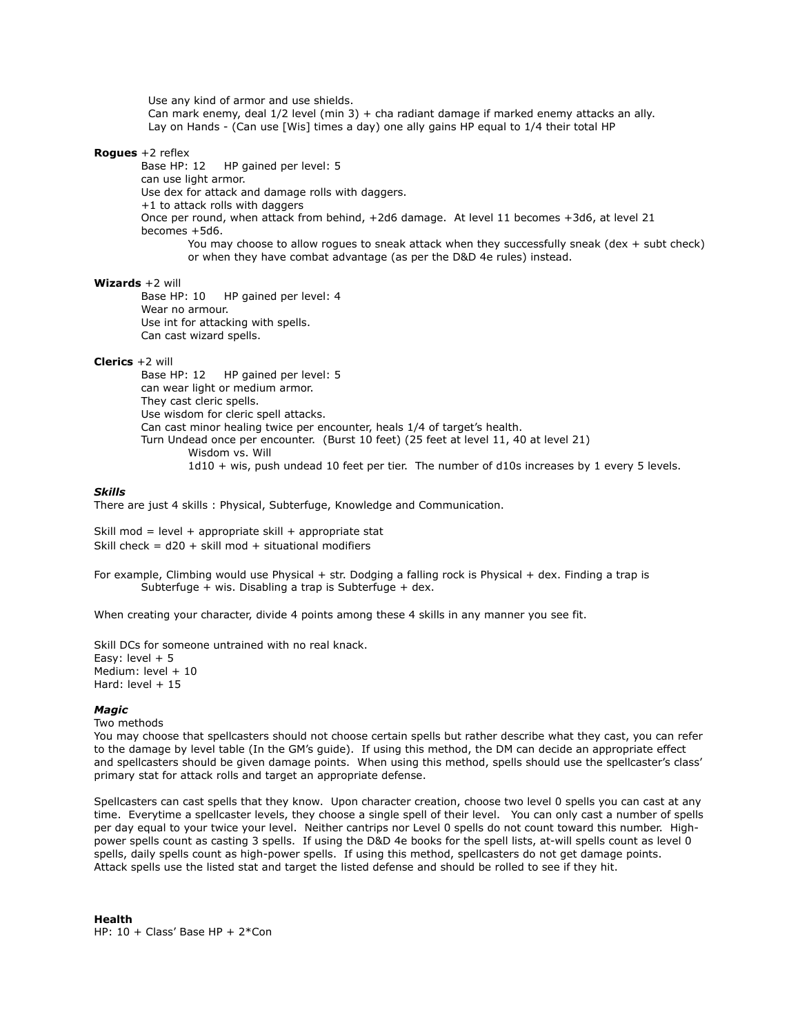Use any kind of armor and use shields. Can mark enemy, deal 1/2 level (min 3) + cha radiant damage if marked enemy attacks an ally. Lay on Hands - (Can use [Wis] times a day) one ally gains HP equal to 1/4 their total HP

# **Rogues** +2 reflex

 Base HP: 12 HP gained per level: 5 can use light armor. Use dex for attack and damage rolls with daggers. +1 to attack rolls with daggers Once per round, when attack from behind, +2d6 damage. At level 11 becomes +3d6, at level 21 becomes +5d6. You may choose to allow rogues to sneak attack when they successfully sneak (dex + subt check) or when they have combat advantage (as per the D&D 4e rules) instead.

## **Wizards** +2 will

 Base HP: 10 HP gained per level: 4 Wear no armour. Use int for attacking with spells. Can cast wizard spells.

## **Clerics** +2 will

 Base HP: 12 HP gained per level: 5 can wear light or medium armor. They cast cleric spells. Use wisdom for cleric spell attacks. Can cast minor healing twice per encounter, heals 1/4 of target's health. Turn Undead once per encounter. (Burst 10 feet) (25 feet at level 11, 40 at level 21) Wisdom vs. Will 1d10 + wis, push undead 10 feet per tier. The number of d10s increases by 1 every 5 levels.

### *Skills*

There are just 4 skills : Physical, Subterfuge, Knowledge and Communication.

Skill mod = level + appropriate skill + appropriate stat Skill check =  $d20 +$  skill mod + situational modifiers

For example, Climbing would use Physical + str. Dodging a falling rock is Physical + dex. Finding a trap is Subterfuge + wis. Disabling a trap is Subterfuge + dex.

When creating your character, divide 4 points among these 4 skills in any manner you see fit.

Skill DCs for someone untrained with no real knack. Easy: level  $+5$ Medium: level + 10 Hard: level  $+15$ 

# *Magic*

Two methods

You may choose that spellcasters should not choose certain spells but rather describe what they cast, you can refer to the damage by level table (In the GM's guide). If using this method, the DM can decide an appropriate effect and spellcasters should be given damage points. When using this method, spells should use the spellcaster's class' primary stat for attack rolls and target an appropriate defense.

Spellcasters can cast spells that they know. Upon character creation, choose two level 0 spells you can cast at any time. Everytime a spellcaster levels, they choose a single spell of their level. You can only cast a number of spells per day equal to your twice your level. Neither cantrips nor Level 0 spells do not count toward this number. Highpower spells count as casting 3 spells. If using the D&D 4e books for the spell lists, at-will spells count as level 0 spells, daily spells count as high-power spells. If using this method, spellcasters do not get damage points. Attack spells use the listed stat and target the listed defense and should be rolled to see if they hit.

**Health** HP: 10 + Class' Base HP + 2\*Con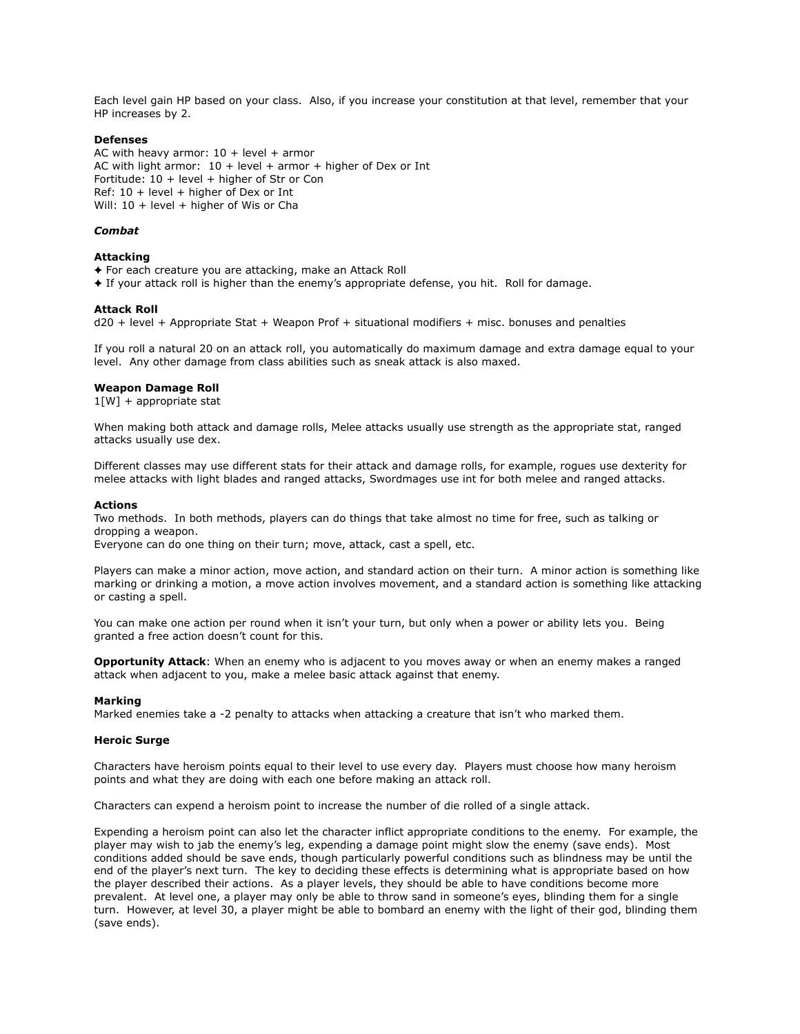Each level gain HP based on your class. Also, if you increase your constitution at that level, remember that your HP increases by 2.

## **Defenses**

AC with heavy armor:  $10 + level + armor$ AC with light armor:  $10 + level + armor + higher of Dev or Int$ Fortitude: 10 + level + higher of Str or Con Ref: 10 + level + higher of Dex or Int Will:  $10 + level + higher of Wis or Cha$ 

### *Combat*

#### **Attacking**

- ✦ For each creature you are attacking, make an Attack Roll
- ✦ If your attack roll is higher than the enemy's appropriate defense, you hit. Roll for damage.

#### **Attack Roll**

d20 + level + Appropriate Stat + Weapon Prof + situational modifiers + misc. bonuses and penalties

If you roll a natural 20 on an attack roll, you automatically do maximum damage and extra damage equal to your level. Any other damage from class abilities such as sneak attack is also maxed.

### **Weapon Damage Roll**

 $1[W]$  + appropriate stat

When making both attack and damage rolls, Melee attacks usually use strength as the appropriate stat, ranged attacks usually use dex.

Different classes may use different stats for their attack and damage rolls, for example, rogues use dexterity for melee attacks with light blades and ranged attacks, Swordmages use int for both melee and ranged attacks.

#### **Actions**

Two methods. In both methods, players can do things that take almost no time for free, such as talking or dropping a weapon.

Everyone can do one thing on their turn; move, attack, cast a spell, etc.

Players can make a minor action, move action, and standard action on their turn. A minor action is something like marking or drinking a motion, a move action involves movement, and a standard action is something like attacking or casting a spell.

You can make one action per round when it isn't your turn, but only when a power or ability lets you. Being granted a free action doesn't count for this.

**Opportunity Attack**: When an enemy who is adjacent to you moves away or when an enemy makes a ranged attack when adjacent to you, make a melee basic attack against that enemy.

#### **Marking**

Marked enemies take a -2 penalty to attacks when attacking a creature that isn't who marked them.

#### **Heroic Surge**

Characters have heroism points equal to their level to use every day. Players must choose how many heroism points and what they are doing with each one before making an attack roll.

Characters can expend a heroism point to increase the number of die rolled of a single attack.

Expending a heroism point can also let the character inflict appropriate conditions to the enemy. For example, the player may wish to jab the enemy's leg, expending a damage point might slow the enemy (save ends). Most conditions added should be save ends, though particularly powerful conditions such as blindness may be until the end of the player's next turn. The key to deciding these effects is determining what is appropriate based on how the player described their actions. As a player levels, they should be able to have conditions become more prevalent. At level one, a player may only be able to throw sand in someone's eyes, blinding them for a single turn. However, at level 30, a player might be able to bombard an enemy with the light of their god, blinding them (save ends).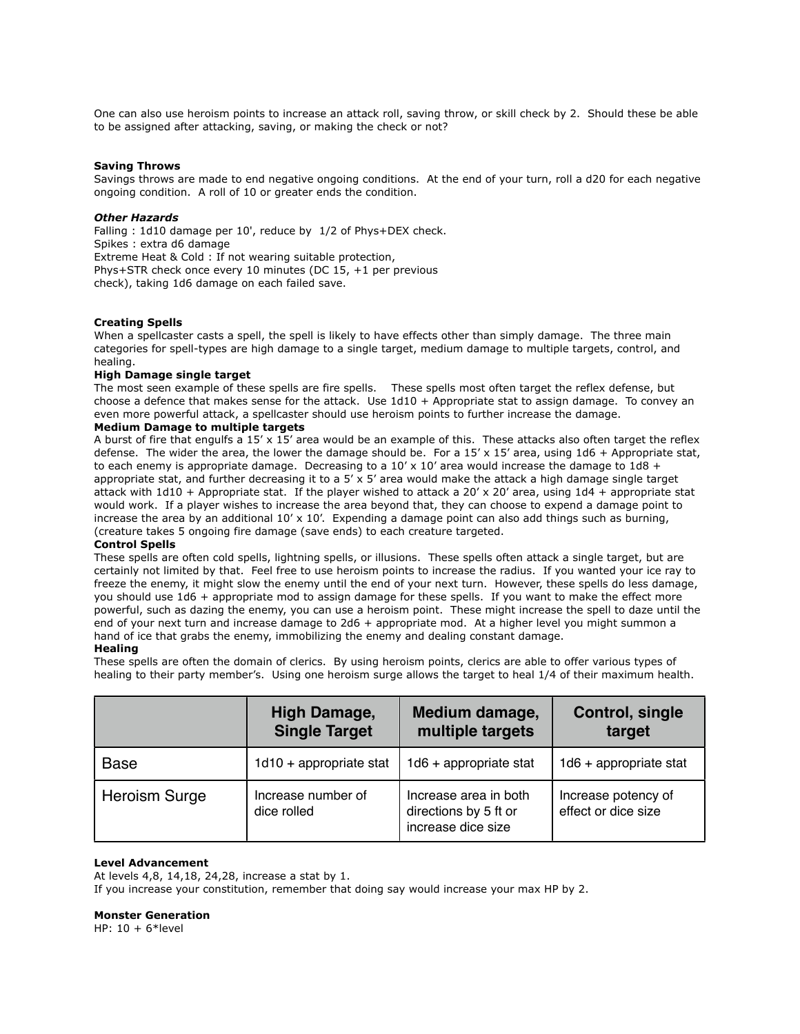One can also use heroism points to increase an attack roll, saving throw, or skill check by 2. Should these be able to be assigned after attacking, saving, or making the check or not?

## **Saving Throws**

Savings throws are made to end negative ongoing conditions. At the end of your turn, roll a d20 for each negative ongoing condition. A roll of 10 or greater ends the condition.

## *Other Hazards*

Falling : 1d10 damage per 10', reduce by 1/2 of Phys+DEX check. Spikes : extra d6 damage Extreme Heat & Cold : If not wearing suitable protection, Phys+STR check once every 10 minutes (DC 15, +1 per previous check), taking 1d6 damage on each failed save.

# **Creating Spells**

When a spellcaster casts a spell, the spell is likely to have effects other than simply damage. The three main categories for spell-types are high damage to a single target, medium damage to multiple targets, control, and healing.

# **High Damage single target**

The most seen example of these spells are fire spells. These spells most often target the reflex defense, but choose a defence that makes sense for the attack. Use 1d10 + Appropriate stat to assign damage. To convey an even more powerful attack, a spellcaster should use heroism points to further increase the damage.

## **Medium Damage to multiple targets**

A burst of fire that engulfs a 15' x 15' area would be an example of this. These attacks also often target the reflex defense. The wider the area, the lower the damage should be. For a  $15' \times 15'$  area, using  $1d6 +$  Appropriate stat, to each enemy is appropriate damage. Decreasing to a  $10' \times 10'$  area would increase the damage to  $1d8 +$ appropriate stat, and further decreasing it to a  $5' \times 5'$  area would make the attack a high damage single target attack with  $1d10 +$  Appropriate stat. If the player wished to attack a 20' x 20' area, using  $1d4 +$  appropriate stat would work. If a player wishes to increase the area beyond that, they can choose to expend a damage point to increase the area by an additional  $10' \times 10'$ . Expending a damage point can also add things such as burning, (creature takes 5 ongoing fire damage (save ends) to each creature targeted.

#### **Control Spells**

These spells are often cold spells, lightning spells, or illusions. These spells often attack a single target, but are certainly not limited by that. Feel free to use heroism points to increase the radius. If you wanted your ice ray to freeze the enemy, it might slow the enemy until the end of your next turn. However, these spells do less damage, you should use 1d6 + appropriate mod to assign damage for these spells. If you want to make the effect more powerful, such as dazing the enemy, you can use a heroism point. These might increase the spell to daze until the end of your next turn and increase damage to 2d6 + appropriate mod. At a higher level you might summon a hand of ice that grabs the enemy, immobilizing the enemy and dealing constant damage.

## **Healing**

These spells are often the domain of clerics. By using heroism points, clerics are able to offer various types of healing to their party member's. Using one heroism surge allows the target to heal 1/4 of their maximum health.

|                      | <b>High Damage,</b><br><b>Single Target</b> | Medium damage,<br>multiple targets                                   | Control, single<br>target                  |
|----------------------|---------------------------------------------|----------------------------------------------------------------------|--------------------------------------------|
| <b>Base</b>          | $1d10 +$ appropriate stat                   | $1d6 +$ appropriate stat                                             | $1d6 +$ appropriate stat                   |
| <b>Heroism Surge</b> | Increase number of<br>dice rolled           | Increase area in both<br>directions by 5 ft or<br>increase dice size | Increase potency of<br>effect or dice size |

# **Level Advancement**

At levels 4,8, 14,18, 24,28, increase a stat by 1. If you increase your constitution, remember that doing say would increase your max HP by 2.

#### **Monster Generation**

HP:  $10 + 6*$  level